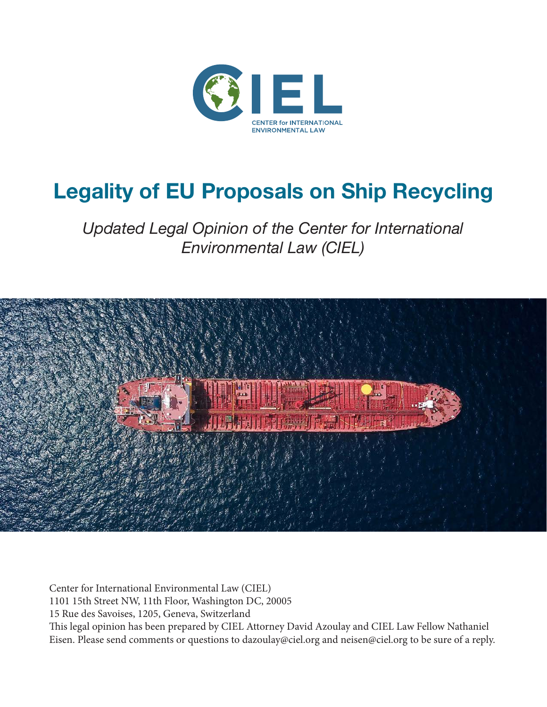

# **Legality of EU Proposals on Ship Recycling**

*Updated Legal Opinion of the Center for International Environmental Law (CIEL)*



Center for International Environmental Law (CIEL) 1101 15th Street NW, 11th Floor, Washington DC, 20005 15 Rue des Savoises, 1205, Geneva, Switzerland This legal opinion has been prepared by CIEL Attorney David Azoulay and CIEL Law Fellow Nathaniel Eisen. Please send comments or questions to dazoulay@ciel.org and neisen@ciel.org to be sure of a reply.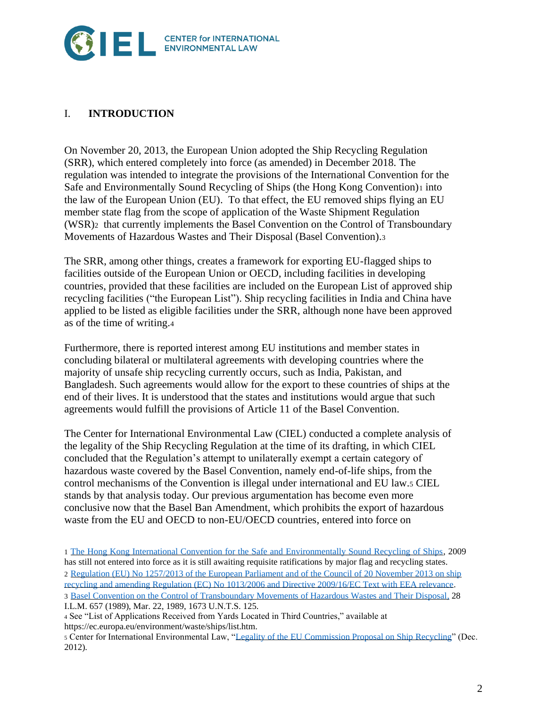

## I. **INTRODUCTION**

On November 20, 2013, the European Union adopted the Ship Recycling Regulation (SRR), which entered completely into force (as amended) in December 2018. The regulation was intended to integrate the provisions of the International Convention for the Safe and Environmentally Sound Recycling of Ships (the Hong Kong Convention)<sub>1</sub> into the law of the European Union (EU). To that effect, the EU removed ships flying an EU member state flag from the scope of application of the Waste Shipment Regulation (WSR)2 that currently implements the Basel Convention on the Control of Transboundary Movements of Hazardous Wastes and Their Disposal (Basel Convention).<sup>3</sup>

The SRR, among other things, creates a framework for exporting EU-flagged ships to facilities outside of the European Union or OECD, including facilities in developing countries, provided that these facilities are included on the European List of approved ship recycling facilities ("the European List"). Ship recycling facilities in India and China have applied to be listed as eligible facilities under the SRR, although none have been approved as of the time of writing.<sup>4</sup>

Furthermore, there is reported interest among EU institutions and member states in concluding bilateral or multilateral agreements with developing countries where the majority of unsafe ship recycling currently occurs, such as India, Pakistan, and Bangladesh. Such agreements would allow for the export to these countries of ships at the end of their lives. It is understood that the states and institutions would argue that such agreements would fulfill the provisions of Article 11 of the Basel Convention.

The Center for International Environmental Law (CIEL) conducted a complete analysis of the legality of the Ship Recycling Regulation at the time of its drafting, in which CIEL concluded that the Regulation's attempt to unilaterally exempt a certain category of hazardous waste covered by the Basel Convention, namely end-of-life ships, from the control mechanisms of the Convention is illegal under international and EU law.<sup>5</sup> CIEL stands by that analysis today. Our previous argumentation has become even more conclusive now that the Basel Ban Amendment, which prohibits the export of hazardous waste from the EU and OECD to non-EU/OECD countries, entered into force on

I.L.M. 657 (1989), Mar. 22, 1989, 1673 U.N.T.S. 125.

<sup>1</sup> [The Hong Kong International Convention for the Safe and Environmentally Sound Recycling of Ships,](http://www.basel.int/Portals/4/Basel%20Convention/docs/ships/HongKongConvention.pdf) 2009 has still not entered into force as it is still awaiting requisite ratifications by major flag and recycling states. 2 Regulation (EU) No [1257/2013 of the European Parliament and of the Council of 20](https://eur-lex.europa.eu/LexUriServ/LexUriServ.do?uri=OJ:L:2013:330:0001:0020:EN:PDF) November 2013 on ship recycling and amending Regulation (EC) No [1013/2006 and Directive 2009/16/EC Text with EEA relevance.](https://eur-lex.europa.eu/LexUriServ/LexUriServ.do?uri=OJ:L:2013:330:0001:0020:EN:PDF) 3 [Basel Convention on the Control of Transboundary Movements of Hazardous Wastes and Their Disposal,](http://www.basel.int/Portals/4/download.aspx?d=UNEP-CHW-IMPL-CONVTEXT.English.pdf) 28

<sup>4</sup> See "List of Applications Received from Yards Located in Third Countries," available at https://ec.europa.eu/environment/waste/ships/list.htm.

<sup>5</sup> Center for International Environmental Law, ["Legality of the EU Commission Proposal on Ship Recycling"](https://www.shipbreakingplatform.org/wp-content/uploads/2018/11/CIEL-legal-opinion-on-EU-Ships-Proposed-Regulation-12-Dec-2012.pdf) (Dec. 2012).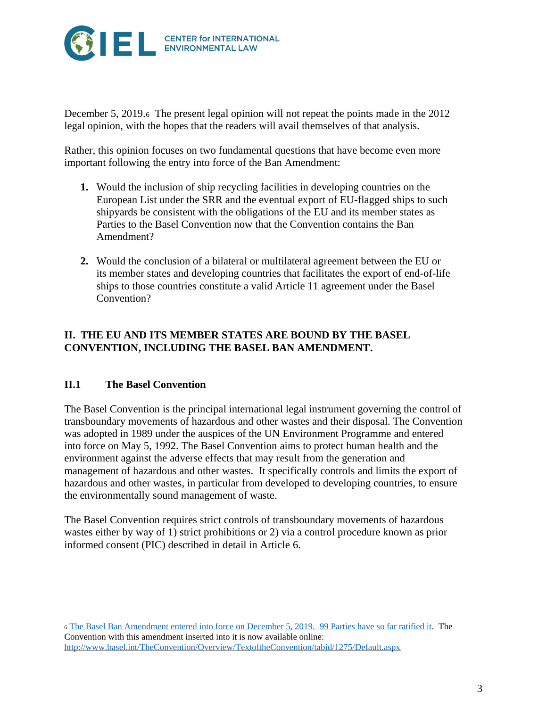

December 5, 2019.6 The present legal opinion will not repeat the points made in the 2012 legal opinion, with the hopes that the readers will avail themselves of that analysis.

Rather, this opinion focuses on two fundamental questions that have become even more important following the entry into force of the Ban Amendment:

- **1.** Would the inclusion of ship recycling facilities in developing countries on the European List under the SRR and the eventual export of EU-flagged ships to such shipyards be consistent with the obligations of the EU and its member states as Parties to the Basel Convention now that the Convention contains the Ban Amendment?
- **2.** Would the conclusion of a bilateral or multilateral agreement between the EU or its member states and developing countries that facilitates the export of end-of-life ships to those countries constitute a valid Article 11 agreement under the Basel Convention?

#### **II. THE EU AND ITS MEMBER STATES ARE BOUND BY THE BASEL CONVENTION, INCLUDING THE BASEL BAN AMENDMENT.**

#### **II.1 The Basel Convention**

The Basel Convention is the principal international legal instrument governing the control of transboundary movements of hazardous and other wastes and their disposal. The Convention was adopted in 1989 under the auspices of the UN Environment Programme and entered into force on May 5, 1992. The Basel Convention aims to protect human health and the environment against the adverse effects that may result from the generation and management of hazardous and other wastes. It specifically controls and limits the export of hazardous and other wastes, in particular from developed to developing countries, to ensure the environmentally sound management of waste.

The Basel Convention requires strict controls of transboundary movements of hazardous wastes either by way of 1) strict prohibitions or 2) via a control procedure known as prior informed consent (PIC) described in detail in Article 6.

<sup>6</sup> [The Basel Ban Amendment entered into force on December 5, 2019. 99](https://treaties.un.org/Pages/ViewDetails.aspx?src=TREATY&mtdsg_no=XXVII-3-a&chapter=27&clang=_en) Parties have so far ratified it. The Convention with this amendment inserted into it is now available online: <http://www.basel.int/TheConvention/Overview/TextoftheConvention/tabid/1275/Default.aspx>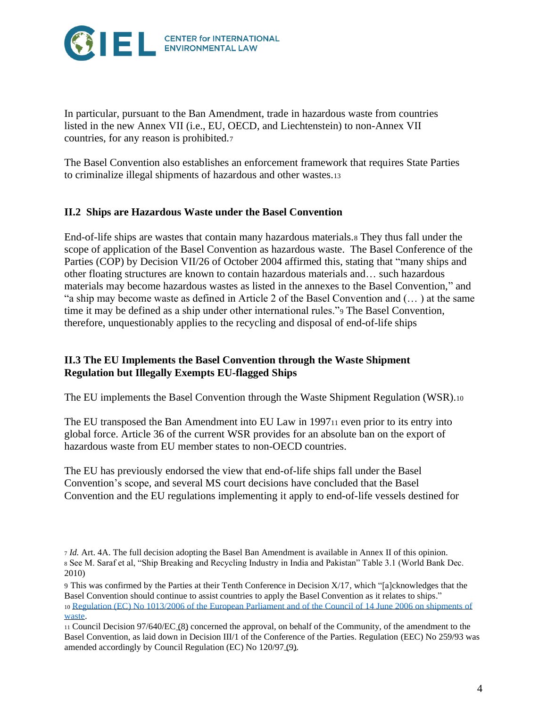

In particular, pursuant to the Ban Amendment, trade in hazardous waste from countries listed in the new Annex VII (i.e., EU, OECD, and Liechtenstein) to non-Annex VII countries, for any reason is prohibited.<sup>7</sup>

The Basel Convention also establishes an enforcement framework that requires State Parties to criminalize illegal shipments of hazardous and other wastes.<sup>13</sup>

#### **II.2 Ships are Hazardous Waste under the Basel Convention**

End-of-life ships are wastes that contain many hazardous materials.<sup>8</sup> They thus fall under the scope of application of the Basel Convention as hazardous waste. The Basel Conference of the Parties (COP) by Decision VII/26 of October 2004 affirmed this, stating that "many ships and other floating structures are known to contain hazardous materials and… such hazardous materials may become hazardous wastes as listed in the annexes to the Basel Convention," and "a ship may become waste as defined in Article 2 of the Basel Convention and (… ) at the same time it may be defined as a ship under other international rules."<sup>9</sup> The Basel Convention, therefore, unquestionably applies to the recycling and disposal of end-of-life ships

#### **II.3 The EU Implements the Basel Convention through the Waste Shipment Regulation but Illegally Exempts EU-flagged Ships**

The EU implements the Basel Convention through the Waste Shipment Regulation (WSR).<sup>10</sup>

The EU transposed the Ban Amendment into EU Law in 1997<sup>11</sup> even prior to its entry into global force. Article 36 of the current WSR provides for an absolute ban on the export of hazardous waste from EU member states to non-OECD countries.

The EU has previously endorsed the view that end-of-life ships fall under the Basel Convention's scope, and several MS court decisions have concluded that the Basel Convention and the EU regulations implementing it apply to end-of-life vessels destined for

<sup>7</sup> *Id.* Art. 4A. The full decision adopting the Basel Ban Amendment is available in Annex II of this opinion. <sup>8</sup> See M. Saraf et al, "Ship Breaking and Recycling Industry in India and Pakistan" Table 3.1 (World Bank Dec. 2010)

<sup>9</sup> This was confirmed by the Parties at their Tenth Conference in Decision X/17, which "[a]cknowledges that the Basel Convention should continue to assist countries to apply the Basel Convention as it relates to ships." <sup>10</sup> [Regulation \(EC\) No 1013/2006 of the European Parliament and of the Council of 14 June 2006 on shipments of](https://eur-lex.europa.eu/legal-content/EN/ALL/?uri=CELEX%3A32006R1013)  [waste.](https://eur-lex.europa.eu/legal-content/EN/ALL/?uri=CELEX%3A32006R1013)

<sup>11</sup> Council Decision 97/640/EC [\(8\)](https://eur-lex.europa.eu/legal-content/EN/TXT/?qid=1454069470717&uri=CELEX:32006R1013#ntr8-L_2006190EN.01000101-E0008) concerned the approval, on behalf of the Community, of the amendment to the Basel Convention, as laid down in Decision III/1 of the Conference of the Parties. Regulation (EEC) No 259/93 was amended accordingly by Council Regulation (EC) No 120/97 [\(9\).](https://eur-lex.europa.eu/legal-content/EN/TXT/?qid=1454069470717&uri=CELEX:32006R1013#ntr9-L_2006190EN.01000101-E0009)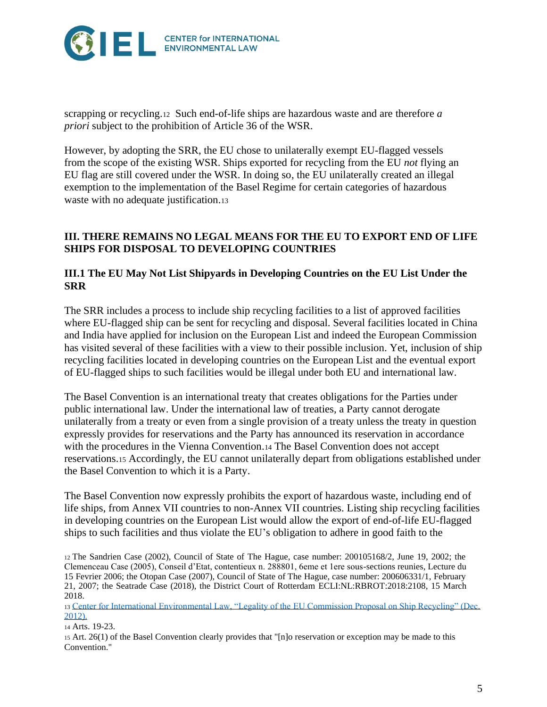

scrapping or recycling.<sup>12</sup> Such end-of-life ships are hazardous waste and are therefore *a priori* subject to the prohibition of Article 36 of the WSR.

However, by adopting the SRR, the EU chose to unilaterally exempt EU-flagged vessels from the scope of the existing WSR. Ships exported for recycling from the EU *not* flying an EU flag are still covered under the WSR. In doing so, the EU unilaterally created an illegal exemption to the implementation of the Basel Regime for certain categories of hazardous waste with no adequate justification.13

#### **III. THERE REMAINS NO LEGAL MEANS FOR THE EU TO EXPORT END OF LIFE SHIPS FOR DISPOSAL TO DEVELOPING COUNTRIES**

#### **III.1 The EU May Not List Shipyards in Developing Countries on the EU List Under the SRR**

The SRR includes a process to include ship recycling facilities to a list of approved facilities where EU-flagged ship can be sent for recycling and disposal. Several facilities located in China and India have applied for inclusion on the European List and indeed the European Commission has visited several of these facilities with a view to their possible inclusion. Yet, inclusion of ship recycling facilities located in developing countries on the European List and the eventual export of EU-flagged ships to such facilities would be illegal under both EU and international law.

The Basel Convention is an international treaty that creates obligations for the Parties under public international law. Under the international law of treaties, a Party cannot derogate unilaterally from a treaty or even from a single provision of a treaty unless the treaty in question expressly provides for reservations and the Party has announced its reservation in accordance with the procedures in the Vienna Convention.<sup>14</sup> The Basel Convention does not accept reservations.<sup>15</sup> Accordingly, the EU cannot unilaterally depart from obligations established under the Basel Convention to which it is a Party.

The Basel Convention now expressly prohibits the export of hazardous waste, including end of life ships, from Annex VII countries to non-Annex VII countries. Listing ship recycling facilities in developing countries on the European List would allow the export of end-of-life EU-flagged ships to such facilities and thus violate the EU's obligation to adhere in good faith to the

<sup>12</sup> The Sandrien Case (2002), Council of State of The Hague, case number: 200105168/2, June 19, 2002; the Clemenceau Case (2005), Conseil d'Etat, contentieux n. 288801, 6eme et 1ere sous-sections reunies, Lecture du 15 Fevrier 2006; the Otopan Case (2007), Council of State of The Hague, case number: 200606331/1, February 21, 2007; the Seatrade Case (2018), the District Court of Rotterdam ECLI:NL:RBROT:2018:2108, 15 March 2018.

<sup>13</sup> [Center for International Environmental Law, "Legality of the EU Commission Proposal on Ship Recycling" \(Dec.](https://www.shipbreakingplatform.org/wp-content/uploads/2018/11/CIEL-legal-opinion-on-EU-Ships-Proposed-Regulation-12-Dec-2012.pdf)  [2012\).](https://www.shipbreakingplatform.org/wp-content/uploads/2018/11/CIEL-legal-opinion-on-EU-Ships-Proposed-Regulation-12-Dec-2012.pdf)

<sup>14</sup> Arts. 19-23.

<sup>15</sup> Art. 26(1) of the Basel Convention clearly provides that "[n]o reservation or exception may be made to this Convention."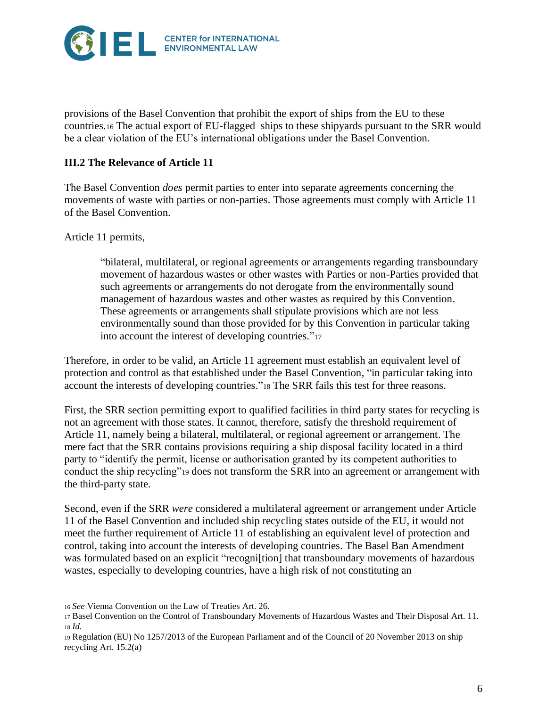

provisions of the Basel Convention that prohibit the export of ships from the EU to these countries.<sup>16</sup> The actual export of EU-flagged ships to these shipyards pursuant to the SRR would be a clear violation of the EU's international obligations under the Basel Convention.

### **III.2 The Relevance of Article 11**

The Basel Convention *does* permit parties to enter into separate agreements concerning the movements of waste with parties or non-parties. Those agreements must comply with Article 11 of the Basel Convention.

Article 11 permits,

"bilateral, multilateral, or regional agreements or arrangements regarding transboundary movement of hazardous wastes or other wastes with Parties or non-Parties provided that such agreements or arrangements do not derogate from the environmentally sound management of hazardous wastes and other wastes as required by this Convention. These agreements or arrangements shall stipulate provisions which are not less environmentally sound than those provided for by this Convention in particular taking into account the interest of developing countries."<sup>17</sup>

Therefore, in order to be valid, an Article 11 agreement must establish an equivalent level of protection and control as that established under the Basel Convention, "in particular taking into account the interests of developing countries."<sup>18</sup> The SRR fails this test for three reasons.

First, the SRR section permitting export to qualified facilities in third party states for recycling is not an agreement with those states. It cannot, therefore, satisfy the threshold requirement of Article 11, namely being a bilateral, multilateral, or regional agreement or arrangement. The mere fact that the SRR contains provisions requiring a ship disposal facility located in a third party to "identify the permit, license or authorisation granted by its competent authorities to conduct the ship recycling"<sup>19</sup> does not transform the SRR into an agreement or arrangement with the third-party state.

Second, even if the SRR *were* considered a multilateral agreement or arrangement under Article 11 of the Basel Convention and included ship recycling states outside of the EU, it would not meet the further requirement of Article 11 of establishing an equivalent level of protection and control, taking into account the interests of developing countries. The Basel Ban Amendment was formulated based on an explicit "recogni[tion] that transboundary movements of hazardous wastes, especially to developing countries, have a high risk of not constituting an

<sup>16</sup> *See* Vienna Convention on the Law of Treaties Art. 26.

<sup>17</sup> Basel Convention on the Control of Transboundary Movements of Hazardous Wastes and Their Disposal Art. 11. <sup>18</sup> *Id.*

<sup>19</sup> Regulation (EU) No 1257/2013 of the European Parliament and of the Council of 20 November 2013 on ship recycling Art. 15.2(a)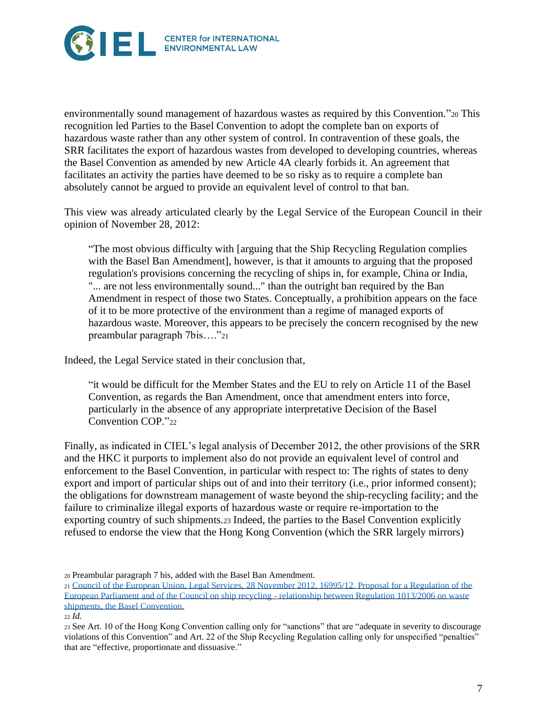

environmentally sound management of hazardous wastes as required by this Convention*.*"<sup>20</sup> This recognition led Parties to the Basel Convention to adopt the complete ban on exports of hazardous waste rather than any other system of control. In contravention of these goals, the SRR facilitates the export of hazardous wastes from developed to developing countries, whereas the Basel Convention as amended by new Article 4A clearly forbids it. An agreement that facilitates an activity the parties have deemed to be so risky as to require a complete ban absolutely cannot be argued to provide an equivalent level of control to that ban.

This view was already articulated clearly by the Legal Service of the European Council in their opinion of November 28, 2012:

"The most obvious difficulty with [arguing that the Ship Recycling Regulation complies with the Basel Ban Amendment], however, is that it amounts to arguing that the proposed regulation's provisions concerning the recycling of ships in, for example, China or India, "... are not less environmentally sound..." than the outright ban required by the Ban Amendment in respect of those two States. Conceptually, a prohibition appears on the face of it to be more protective of the environment than a regime of managed exports of hazardous waste. Moreover, this appears to be precisely the concern recognised by the new preambular paragraph 7bis…."<sup>21</sup>

Indeed, the Legal Service stated in their conclusion that,

"it would be difficult for the Member States and the EU to rely on Article 11 of the Basel Convention, as regards the Ban Amendment, once that amendment enters into force, particularly in the absence of any appropriate interpretative Decision of the Basel Convention COP."22

Finally, as indicated in CIEL's legal analysis of December 2012, the other provisions of the SRR and the HKC it purports to implement also do not provide an equivalent level of control and enforcement to the Basel Convention, in particular with respect to: The rights of states to deny export and import of particular ships out of and into their territory (i.e., prior informed consent); the obligations for downstream management of waste beyond the ship-recycling facility; and the failure to criminalize illegal exports of hazardous waste or require re-importation to the exporting country of such shipments.<sup>23</sup> Indeed, the parties to the Basel Convention explicitly refused to endorse the view that the Hong Kong Convention (which the SRR largely mirrors)

<sup>20</sup> Preambular paragraph 7 bis, added with the Basel Ban Amendment.

<sup>21</sup> [Council of the European Union, Legal Services, 28 November 2012, 16995/12. Proposal for a Regulation of the](http://wiki.ban.org/images/a/a8/Council_Legal_Services_Opinion.pdf)  [European Parliament and of the Council on ship recycling -](http://wiki.ban.org/images/a/a8/Council_Legal_Services_Opinion.pdf) relationship between Regulation 1013/2006 on waste [shipments, the Basel Convention.](http://wiki.ban.org/images/a/a8/Council_Legal_Services_Opinion.pdf)

<sup>22</sup> *Id.*

<sup>23</sup> See Art. 10 of the Hong Kong Convention calling only for "sanctions" that are "adequate in severity to discourage violations of this Convention" and Art. 22 of the Ship Recycling Regulation calling only for unspecified "penalties" that are "effective, proportionate and dissuasive."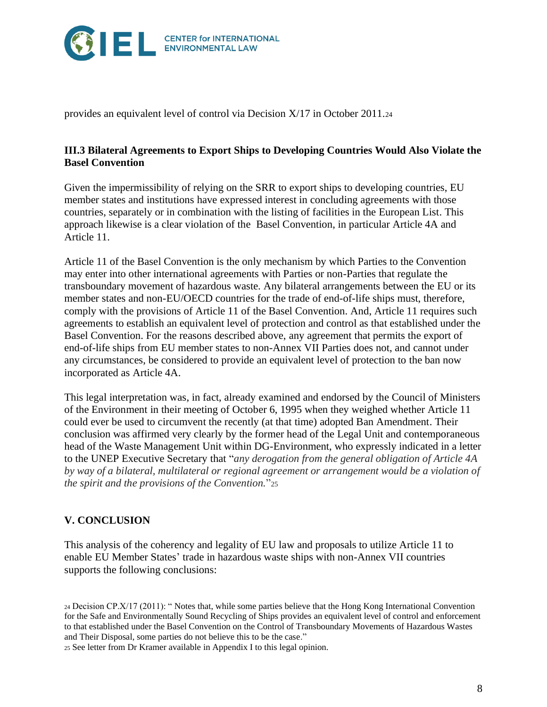

provides an equivalent level of control via Decision X/17 in October 2011.<sup>24</sup>

#### **III.3 Bilateral Agreements to Export Ships to Developing Countries Would Also Violate the Basel Convention**

Given the impermissibility of relying on the SRR to export ships to developing countries, EU member states and institutions have expressed interest in concluding agreements with those countries, separately or in combination with the listing of facilities in the European List. This approach likewise is a clear violation of the Basel Convention, in particular Article 4A and Article 11.

Article 11 of the Basel Convention is the only mechanism by which Parties to the Convention may enter into other international agreements with Parties or non-Parties that regulate the transboundary movement of hazardous waste. Any bilateral arrangements between the EU or its member states and non-EU/OECD countries for the trade of end-of-life ships must, therefore, comply with the provisions of Article 11 of the Basel Convention. And, Article 11 requires such agreements to establish an equivalent level of protection and control as that established under the Basel Convention. For the reasons described above, any agreement that permits the export of end-of-life ships from EU member states to non-Annex VII Parties does not, and cannot under any circumstances, be considered to provide an equivalent level of protection to the ban now incorporated as Article 4A.

This legal interpretation was, in fact, already examined and endorsed by the Council of Ministers of the Environment in their meeting of October 6, 1995 when they weighed whether Article 11 could ever be used to circumvent the recently (at that time) adopted Ban Amendment. Their conclusion was affirmed very clearly by the former head of the Legal Unit and contemporaneous head of the Waste Management Unit within DG-Environment, who expressly indicated in a letter to the UNEP Executive Secretary that "*any derogation from the general obligation of Article 4A by way of a bilateral, multilateral or regional agreement or arrangement would be a violation of the spirit and the provisions of the Convention.*"<sup>25</sup>

## **V. CONCLUSION**

This analysis of the coherency and legality of EU law and proposals to utilize Article 11 to enable EU Member States' trade in hazardous waste ships with non-Annex VII countries supports the following conclusions:

<sup>24</sup> Decision CP.X/17 (2011): " Notes that, while some parties believe that the Hong Kong International Convention for the Safe and Environmentally Sound Recycling of Ships provides an equivalent level of control and enforcement to that established under the Basel Convention on the Control of Transboundary Movements of Hazardous Wastes and Their Disposal, some parties do not believe this to be the case."

<sup>25</sup> See letter from Dr Kramer available in Appendix I to this legal opinion.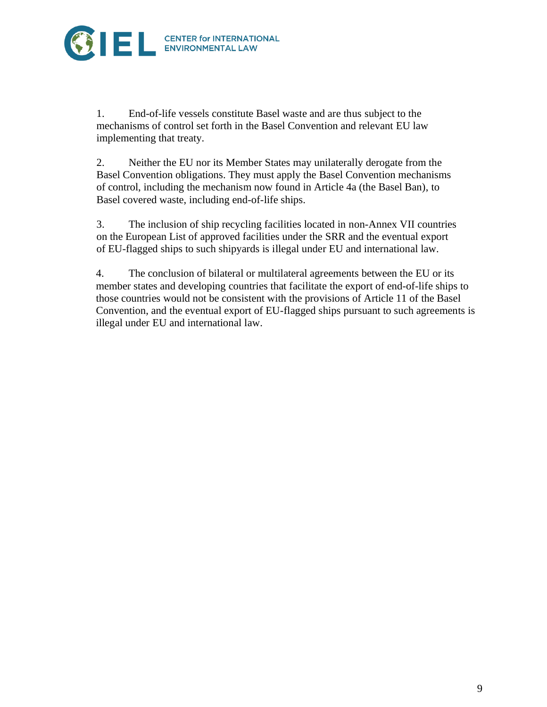

1. End-of-life vessels constitute Basel waste and are thus subject to the mechanisms of control set forth in the Basel Convention and relevant EU law implementing that treaty.

2. Neither the EU nor its Member States may unilaterally derogate from the Basel Convention obligations. They must apply the Basel Convention mechanisms of control, including the mechanism now found in Article 4a (the Basel Ban), to Basel covered waste, including end-of-life ships.

3. The inclusion of ship recycling facilities located in non-Annex VII countries on the European List of approved facilities under the SRR and the eventual export of EU-flagged ships to such shipyards is illegal under EU and international law.

4. The conclusion of bilateral or multilateral agreements between the EU or its member states and developing countries that facilitate the export of end-of-life ships to those countries would not be consistent with the provisions of Article 11 of the Basel Convention, and the eventual export of EU-flagged ships pursuant to such agreements is illegal under EU and international law.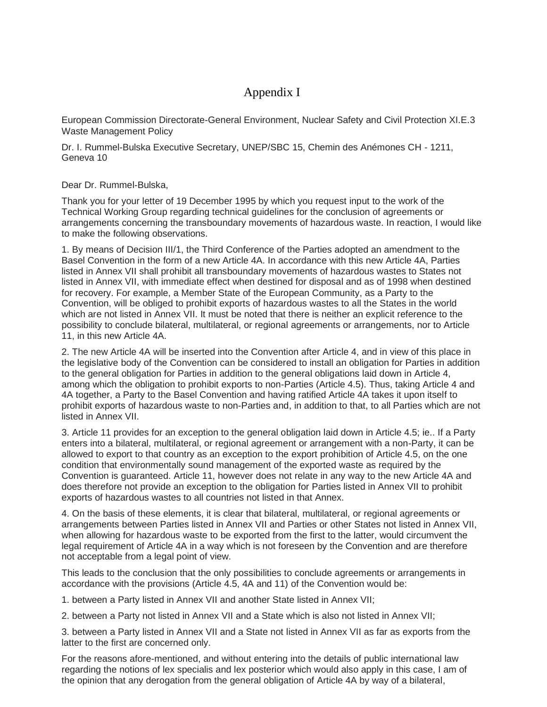# Appendix I

European Commission Directorate-General Environment, Nuclear Safety and Civil Protection XI.E.3 Waste Management Policy

Dr. I. Rummel-Bulska Executive Secretary, UNEP/SBC 15, Chemin des Anémones CH - 1211, Geneva 10

Dear Dr. Rummel-Bulska,

Thank you for your letter of 19 December 1995 by which you request input to the work of the Technical Working Group regarding technical guidelines for the conclusion of agreements or arrangements concerning the transboundary movements of hazardous waste. In reaction, I would like to make the following observations.

1. By means of Decision III/1, the Third Conference of the Parties adopted an amendment to the Basel Convention in the form of a new Article 4A. In accordance with this new Article 4A, Parties listed in Annex VII shall prohibit all transboundary movements of hazardous wastes to States not listed in Annex VII, with immediate effect when destined for disposal and as of 1998 when destined for recovery. For example, a Member State of the European Community, as a Party to the Convention, will be obliged to prohibit exports of hazardous wastes to all the States in the world which are not listed in Annex VII. It must be noted that there is neither an explicit reference to the possibility to conclude bilateral, multilateral, or regional agreements or arrangements, nor to Article 11, in this new Article 4A.

2. The new Article 4A will be inserted into the Convention after Article 4, and in view of this place in the legislative body of the Convention can be considered to install an obligation for Parties in addition to the general obligation for Parties in addition to the general obligations laid down in Article 4, among which the obligation to prohibit exports to non-Parties (Article 4.5). Thus, taking Article 4 and 4A together, a Party to the Basel Convention and having ratified Article 4A takes it upon itself to prohibit exports of hazardous waste to non-Parties and, in addition to that, to all Parties which are not listed in Annex VII.

3. Article 11 provides for an exception to the general obligation laid down in Article 4.5; ie.. If a Party enters into a bilateral, multilateral, or regional agreement or arrangement with a non-Party, it can be allowed to export to that country as an exception to the export prohibition of Article 4.5, on the one condition that environmentally sound management of the exported waste as required by the Convention is guaranteed. Article 11, however does not relate in any way to the new Article 4A and does therefore not provide an exception to the obligation for Parties listed in Annex VII to prohibit exports of hazardous wastes to all countries not listed in that Annex.

4. On the basis of these elements, it is clear that bilateral, multilateral, or regional agreements or arrangements between Parties listed in Annex VII and Parties or other States not listed in Annex VII, when allowing for hazardous waste to be exported from the first to the latter, would circumvent the legal requirement of Article 4A in a way which is not foreseen by the Convention and are therefore not acceptable from a legal point of view.

This leads to the conclusion that the only possibilities to conclude agreements or arrangements in accordance with the provisions (Article 4.5, 4A and 11) of the Convention would be:

1. between a Party listed in Annex VII and another State listed in Annex VII;

2. between a Party not listed in Annex VII and a State which is also not listed in Annex VII;

3. between a Party listed in Annex VII and a State not listed in Annex VII as far as exports from the latter to the first are concerned only.

For the reasons afore-mentioned, and without entering into the details of public international law regarding the notions of lex specialis and lex posterior which would also apply in this case, I am of the opinion that any derogation from the general obligation of Article 4A by way of a bilateral,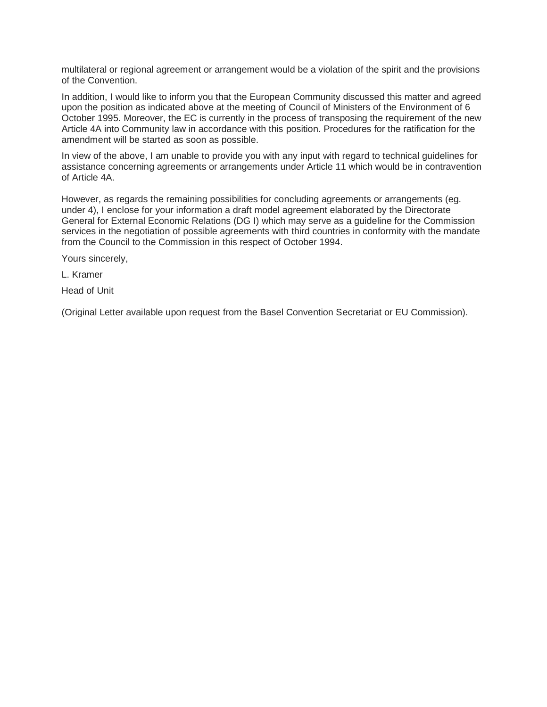multilateral or regional agreement or arrangement would be a violation of the spirit and the provisions of the Convention.

In addition, I would like to inform you that the European Community discussed this matter and agreed upon the position as indicated above at the meeting of Council of Ministers of the Environment of 6 October 1995. Moreover, the EC is currently in the process of transposing the requirement of the new Article 4A into Community law in accordance with this position. Procedures for the ratification for the amendment will be started as soon as possible.

In view of the above, I am unable to provide you with any input with regard to technical guidelines for assistance concerning agreements or arrangements under Article 11 which would be in contravention of Article 4A.

However, as regards the remaining possibilities for concluding agreements or arrangements (eg. under 4), I enclose for your information a draft model agreement elaborated by the Directorate General for External Economic Relations (DG I) which may serve as a guideline for the Commission services in the negotiation of possible agreements with third countries in conformity with the mandate from the Council to the Commission in this respect of October 1994.

Yours sincerely,

L. Kramer

Head of Unit

(Original Letter available upon request from the Basel Convention Secretariat or EU Commission).